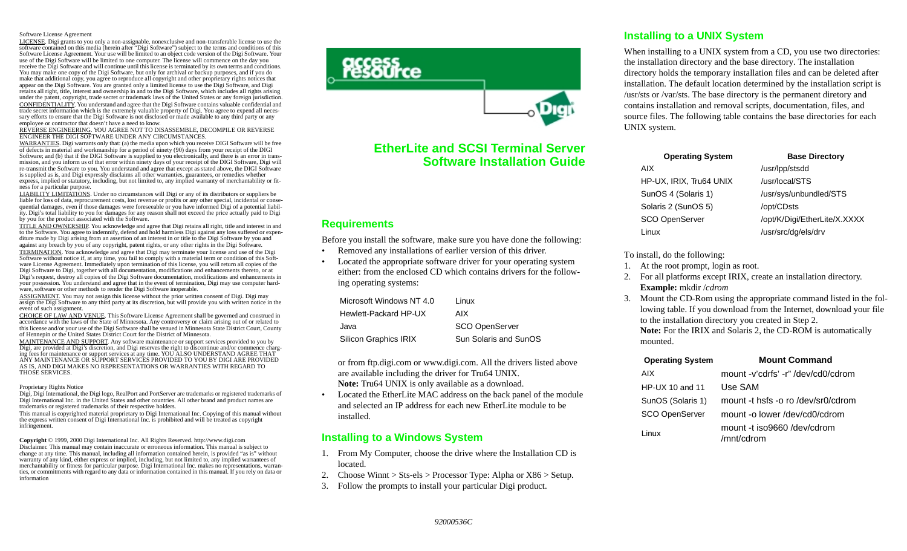#### Software License Agreement

LICENSE. Digi grants to you only a non-assignable, nonexclusive and non-transferable license to use the software contained on this media (herein after "Digi Software") subject to the terms and conditions of this Software License Agreement. Your use will be limited to an object code version of the Digi Software. Your use of the Digi Software will be limited to one computer. The license will commence on the day you receive the Digi Software and will continue until this license is terminated by its own terms and conditions. You may make one copy of the Digi Software, but only for archival or backup purposes, and if you do make that additional copy, you agree to reproduce all copyright and other proprietary rights notices that appear on the Digi Software. You are granted only a limited license to use the Digi Software, and Digi retains all right, title, interest and ownership in and to the Digi Software, which includes all rights arising under the patent, copyright, trade secret or trademark laws of the United States or any foreign jurisdiction. CONFIDENTIALITY. You understand and agree that the Digi Software contains valuable confidential and trade secret information which is the extremely valuable property of Digi. You agree to expend all necessary efforts to ensure that the Digi Software is not disclosed or made available to any third party or any employee or contractor that doesn't have a need to know.

REVERSE ENGINEERING. YOU AGREE NOT TO DISASSEMBLE, DECOMPILE OR REVERSE ENGINEER THE DIGI SOFTWARE UNDER ANY CIRCUMSTANCES.

WARRANTIES. Digi warrants only that: (a) the media upon which you receive DIGI Software will be free of defects in material and workmanship for a period of ninety (90) days from your receipt of the DIGI Software; and (b) that if the DIGI Software is supplied to you electronically, and there is an error in transmission, and you inform us of that error within ninety days of your receipt of the DIGI Software, Digi will re-transmit the Software to you. You understand and agree that except as stated above, the DIGI Software is supplied as is, and Digi expressly disclaims all other warranties, guarantees, or remedies whether express, implied or statutory, including, but not limited to, any implied warranty of merchantability or fitness for a particular purpose.

LIABILITY LIMITATIONS. Under no circumstances will Digi or any of its distributors or suppliers be liable for loss of data, reprocurement costs, lost revenue or profits or any other special, incidental or consequential damages, even if those damages were foreseeable or you have informed Digi of a potential liability. Digi's total liability to you for damages for any reason shall not exceed the price actually paid to Digi by you for the product associated with the Software.

TITLE AND OWNERSHIP. You acknowledge and agree that Digi retains all right, title and interest in and to the Software. You agree to indemnify, defend and hold harmless Digi against any loss suffered or expenditure made by Digi arising from an assertion of an interest in or title to the Digi Software by you and against any breach by you of any copyright, patent rights, or any other rights in the Digi Software. TERMINATION. You acknowledge and agree that Digi may terminate your license and use of the Digi Software without notice if, at any time, you fail to comply with a material term or condition of this Software License Agreement. Immediately upon termination of this license, you will return all copies of the Digi Software to Digi, together with all documentation, modifications and enhancements thereto, or at Digi's request, destroy all copies of the Digi Software documentation, modifications and enhancements in your possession. You understand and agree that in the event of termination, Digi may use computer hardware, software or other methods to render the Digi Software inoperable.

ASSIGNMENT. You may not assign this license without the prior written consent of Digi. Digi may assign the Digi Software to any third party at its discretion, but will provide you with written notice in the event of such assignment.

CHOICE OF LAW AND VENUE. This Software License Agreement shall be governed and construed in accordance with the laws of the State of Minnesota. Any controversy or claim arising out of or related to this license and/or your use of the Digi Software shall be venued in Minnesota State District Court, County of Hennepin or the United States District Court for the District of Minnesota.

MAINTENANCE AND SUPPORT. Any software maintenance or support services provided to you by Digi, are provided at Digi's discretion, and Digi reserves the right to discontinue and/or commence charging fees for maintenance or support services at any time. YOU ALSO UNDERSTAND AGREE THAT ANY MAINTENANCE OR SUPPORT SERVICES PROVIDED TO YOU BY DIGI ARE PROVIDED AS IS, AND DIGI MAKES NO REPRESENTATIONS OR WARRANTIES WITH REGARD TO THOSE SERVICES.

#### Proprietary Rights Notice

Digi, Digi International, the Digi logo, RealPort and PortServer are trademarks or registered trademarks of Digi International Inc. in the United States and other countries. All other brand and product names are trademarks or registered trademarks of their respective holders.

This manual is copyrighted material proprietary to Digi International Inc. Copying of this manual without the express written consent of Digi International Inc. is prohibited and will be treated as copyright infringement.

**Copyright** © 1999, 2000 Digi International Inc. All Rights Reserved. http://www.digi.com

Disclaimer. This manual may contain inaccurate or erroneous information. This manual is subject to change at any time. This manual, including all information contained herein, is provided "as is" without warranty of any kind, either express or implied, including, but not limited to, any implied warrantees of merchantability or fitness for particular purpose. Digi International Inc. makes no representations, warranties, or commitments with regard to any data or information contained in this manual. If you rely on data or information



# **EtherLite and SCSI Terminal ServerSoftware Installation Guide**

### **Requirements**

Before you install the software, make sure you have done the following:

- •Removed any installations of earlier version of this driver.
- • Located the appropriate software driver for your operating system either: from the enclosed CD which contains drivers for the following operating systems:

| Microsoft Windows NT 4.0 | Linux                 |
|--------------------------|-----------------------|
| Hewlett-Packard HP-UX    | AIX.                  |
| Java                     | <b>SCO OpenServer</b> |
| Silicon Graphics IRIX    | Sun Solaris and SunOS |

or from ftp.digi.com or www.digi.com. All the drivers listed above are available including the driver for Tru64 UNIX. **Note:** Tru64 UNIX is only available as a download.

• Located the EtherLite MAC address on the back panel of the module and selected an IP address for each new EtherLite module to be installed.

## **Installing to a Windows System**

- 1. From My Computer, choose the drive where the Installation CD is located.
- 2. Choose Winnt > Sts-els > Processor Type: Alpha or X86 > Setup.
- 3. Follow the prompts to install your particular Digi product.

## **Installing to a UNIX System**

When installing to a UNIX system from a CD, you use two directories: the installation directory and the base directory. The installation directory holds the temporary installation files and can be deleted after installation. The default location determined by the installation script is /usr/sts or /var/sts. The base directory is the permanent diretory and contains installation and removal scripts, documentation, files, and source files. The following table contains the base directories for each UNIX system.

| <b>Operating System</b> | <b>Base Directory</b>        |
|-------------------------|------------------------------|
| AIX                     | /usr/lpp/stsdd               |
| HP-UX, IRIX, Tru64 UNIX | /usr/local/STS               |
| SunOS 4 (Solaris 1)     | /usr/sys/unbundled/STS       |
| Solaris 2 (SunOS 5)     | /opt/CDsts                   |
| <b>SCO OpenServer</b>   | /opt/K/Digi/EtherLite/X.XXXX |
| Linux                   | /usr/src/dg/els/drv          |
|                         |                              |

To install, do the following:

- 1. At the root prompt, login as root.
- 2. For all platforms except IRIX, create an installation directory. **Example:** mkdir /*cdrom*
- 3. Mount the CD-Rom using the appropriate command listed in the following table. If you download from the Internet, download your file to the installation directory you created in Step 2. **Note:** For the IRIX and Solaris 2, the CD-ROM is automatically mounted.

| <b>Operating System</b> | <b>Mount Command</b>                      |
|-------------------------|-------------------------------------------|
| AIX.                    | mount -v'cdrfs' -r"/dev/cd0/cdrom         |
| HP-UX 10 and 11         | Use SAM                                   |
| SunOS (Solaris 1)       | mount -t hsfs -o ro /dev/sr0/cdrom        |
| <b>SCO OpenServer</b>   | mount -o lower/dev/cd0/cdrom              |
| Linux                   | mount -t iso9660 /dev/cdrom<br>/mnt/cdrom |